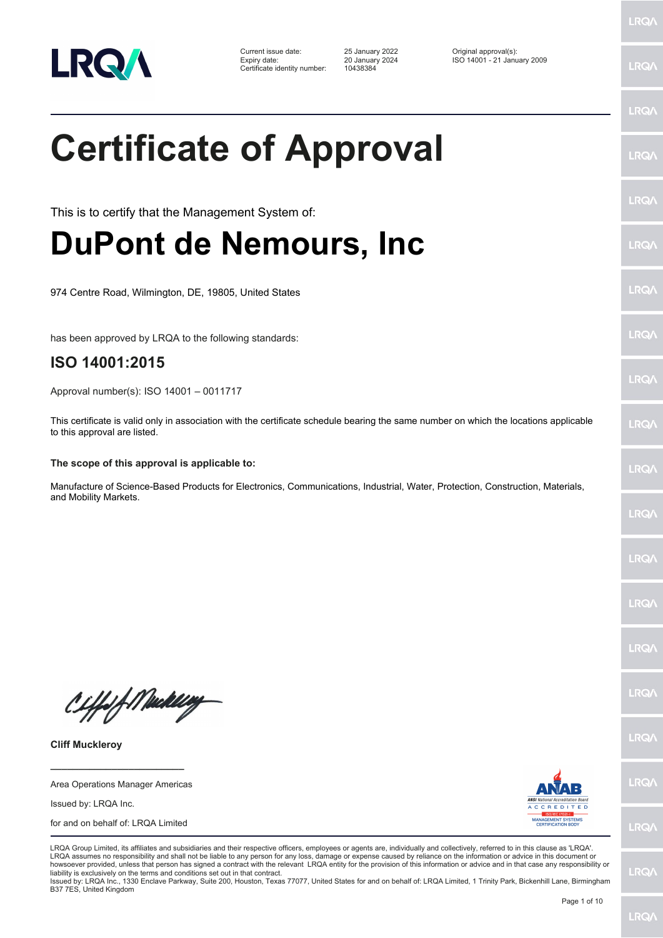

Certificate identity number: 10438384

Current issue date: 25 January 2022 Original approval(s): Expiry date: 20 January 2024 ISO 14001 - 21 January 2009

## **Certificate of Approval**

This is to certify that the Management System of:

### **DuPont de Nemours, Inc**

974 Centre Road, Wilmington, DE, 19805, United States

has been approved by LRQA to the following standards:

### **ISO 14001:2015**

Approval number(s): ISO 14001 – 0011717

This certificate is valid only in association with the certificate schedule bearing the same number on which the locations applicable to this approval are listed.

#### **The scope of this approval is applicable to:**

Manufacture of Science-Based Products for Electronics, Communications, Industrial, Water, Protection, Construction, Materials, and Mobility Markets.

Ciffeft Medal

**Cliff Muckleroy**

**\_\_\_\_\_\_\_\_\_\_\_\_\_\_\_\_\_\_\_\_\_\_\_\_** Area Operations Manager Americas

Issued by: LRQA Inc.

for and on behalf of: LRQA Limited



LRQA Group Limited, its affiliates and subsidiaries and their respective officers, employees or agents are, individually and collectively, referred to in this clause as 'LRQA'. LRQA assumes no responsibility and shall not be liable to any person for any loss, damage or expense caused by reliance on the information or advice in this document or howsoever provided, unless that person has signed a contract with the relevant LRQA entity for the provision of this information or advice and in that case any responsibility or liability is exclusively on the terms and conditions set out in that contract.

Issued by: LRQA Inc., 1330 Enclave Parkway, Suite 200, Houston, Texas 77077, United States for and on behalf of: LRQA Limited, 1 Trinity Park, Bickenhill Lane, Birmingham B37 7ES, United Kingdom

LRQ/

LRQ/

LRQ/

LRQ/

LRQ/

LRQ/

LRQ/

LRQ/

**LRQA** 

**LRO** 

LRQ/

LRQ/

LRQ/

LRQ/

**IRQ** 

**IRQA** 

LRQ/

LRQ/

LRQ/

LRQ/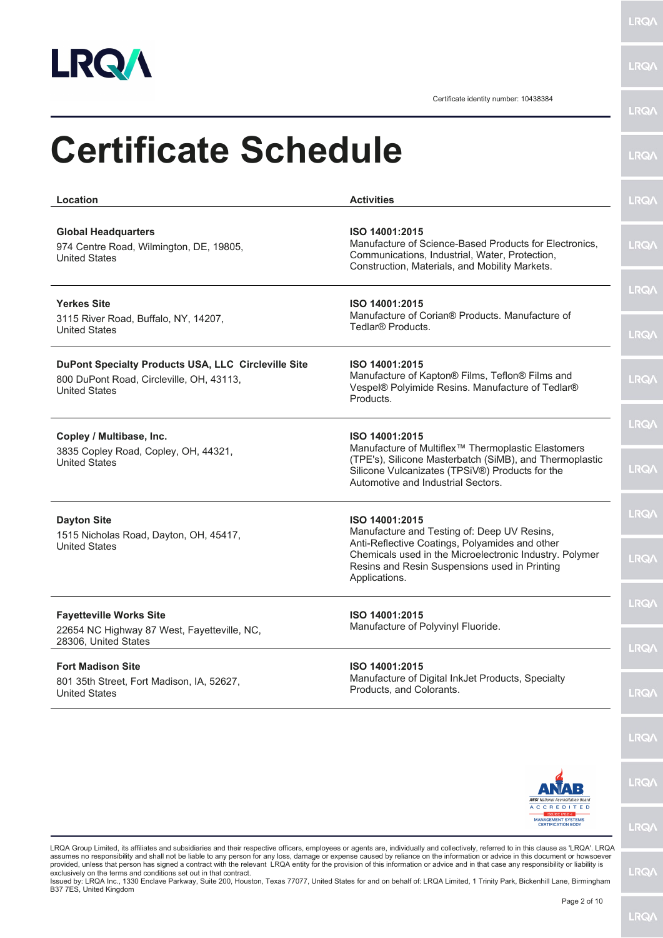

**LRQA** 

Certificate identity number: 10438384

| Location                                                                                                                | <b>Activities</b>                                                                                                                                                                                                                            | <b>LRQA</b>                 |
|-------------------------------------------------------------------------------------------------------------------------|----------------------------------------------------------------------------------------------------------------------------------------------------------------------------------------------------------------------------------------------|-----------------------------|
| <b>Global Headquarters</b><br>974 Centre Road, Wilmington, DE, 19805,<br><b>United States</b>                           | ISO 14001:2015<br>Manufacture of Science-Based Products for Electronics.<br>Communications, Industrial, Water, Protection,<br>Construction, Materials, and Mobility Markets.                                                                 | <b>LRQA</b>                 |
| <b>Yerkes Site</b><br>3115 River Road, Buffalo, NY, 14207,<br><b>United States</b>                                      | ISO 14001:2015<br>Manufacture of Corian <sup>®</sup> Products, Manufacture of<br>Tedlar® Products.                                                                                                                                           | <b>LRQA</b><br><b>LRQA</b>  |
| DuPont Specialty Products USA, LLC Circleville Site<br>800 DuPont Road, Circleville, OH, 43113,<br><b>United States</b> | ISO 14001:2015<br>Manufacture of Kapton® Films, Teflon® Films and<br>Vespel® Polyimide Resins. Manufacture of Tedlar®<br>Products.                                                                                                           | <b>LRQA</b>                 |
| Copley / Multibase, Inc.<br>3835 Copley Road, Copley, OH, 44321,<br><b>United States</b>                                | ISO 14001:2015<br>Manufacture of Multiflex <sup>™</sup> Thermoplastic Elastomers<br>(TPE's), Silicone Masterbatch (SiMB), and Thermoplastic<br>Silicone Vulcanizates (TPSiV®) Products for the<br>Automotive and Industrial Sectors.         | <b>LRQA</b><br><b>LRQA</b>  |
| <b>Dayton Site</b><br>1515 Nicholas Road, Dayton, OH, 45417,<br><b>United States</b>                                    | ISO 14001:2015<br>Manufacture and Testing of: Deep UV Resins,<br>Anti-Reflective Coatings, Polyamides and other<br>Chemicals used in the Microelectronic Industry. Polymer<br>Resins and Resin Suspensions used in Printing<br>Applications. | <b>LRQA</b><br><b>LRQ/\</b> |
| <b>Favetteville Works Site</b><br>22654 NC Highway 87 West, Fayetteville, NC,<br>28306, United States                   | ISO 14001:2015<br>Manufacture of Polyvinyl Fluoride.                                                                                                                                                                                         | <b>LRQA</b><br><b>LRQA</b>  |
| <b>Fort Madison Site</b><br>801 35th Street, Fort Madison, IA, 52627,<br><b>United States</b>                           | ISO 14001:2015<br>Manufacture of Digital InkJet Products, Specialty<br>Products, and Colorants.                                                                                                                                              | <b>LRQA</b>                 |
|                                                                                                                         |                                                                                                                                                                                                                                              | <b>LRQA</b>                 |
|                                                                                                                         | <b>ANSI</b> National Accreditation Board<br>ACCREDITED                                                                                                                                                                                       | <b>LRQA</b>                 |
|                                                                                                                         | <b>MANAGEMENT SYSTEMS</b><br><b>CERTIFICATION BODY</b>                                                                                                                                                                                       | <b>LRQ/</b>                 |

exclusively on the terms and conditions set out in that contract.<br>Issued by: LRQA Inc., 1330 Enclave Parkway, Suite 200, Houston, Texas 77077, United States for and on behalf of: LRQA Limited, 1 Trinity Park, Bickenhill La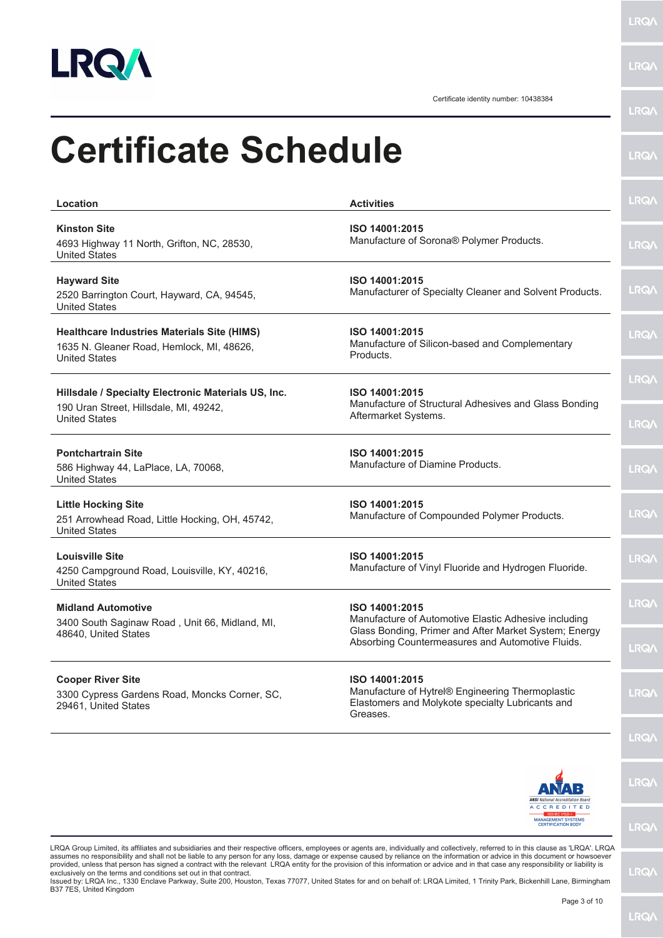

Certificate identity number: 10438384

|                                                                                                                         | Certificate Identity Humber. T04000                                                                                                                                                 | <b>LRQ/</b>                |
|-------------------------------------------------------------------------------------------------------------------------|-------------------------------------------------------------------------------------------------------------------------------------------------------------------------------------|----------------------------|
| <b>Certificate Schedule</b>                                                                                             |                                                                                                                                                                                     | <b>LRQ/</b>                |
| Location                                                                                                                | <b>Activities</b>                                                                                                                                                                   | <b>LRQA</b>                |
| <b>Kinston Site</b><br>4693 Highway 11 North, Grifton, NC, 28530,<br><b>United States</b>                               | ISO 14001:2015<br>Manufacture of Sorona® Polymer Products.                                                                                                                          | <b>LRQ/</b>                |
| <b>Hayward Site</b><br>2520 Barrington Court, Hayward, CA, 94545,<br><b>United States</b>                               | ISO 14001:2015<br>Manufacturer of Specialty Cleaner and Solvent Products.                                                                                                           | <b>LRQA</b>                |
| <b>Healthcare Industries Materials Site (HIMS)</b><br>1635 N. Gleaner Road, Hemlock, MI, 48626,<br><b>United States</b> | ISO 14001:2015<br>Manufacture of Silicon-based and Complementary<br>Products.                                                                                                       | <b>LRQA</b>                |
| Hillsdale / Specialty Electronic Materials US, Inc.<br>190 Uran Street, Hillsdale, MI, 49242,<br><b>United States</b>   | ISO 14001:2015<br>Manufacture of Structural Adhesives and Glass Bonding<br>Aftermarket Systems.                                                                                     | <b>LRQ/</b><br><b>LRQA</b> |
| <b>Pontchartrain Site</b><br>586 Highway 44, LaPlace, LA, 70068,<br><b>United States</b>                                | ISO 14001:2015<br>Manufacture of Diamine Products.                                                                                                                                  | <b>LRQ/</b>                |
| <b>Little Hocking Site</b><br>251 Arrowhead Road, Little Hocking, OH, 45742,<br><b>United States</b>                    | ISO 14001:2015<br>Manufacture of Compounded Polymer Products.                                                                                                                       | <b>LRQA</b>                |
| <b>Louisville Site</b><br>4250 Campground Road, Louisville, KY, 40216,<br><b>United States</b>                          | ISO 14001:2015<br>Manufacture of Vinyl Fluoride and Hydrogen Fluoride.                                                                                                              | <b>LRQ/</b>                |
| <b>Midland Automotive</b><br>3400 South Saginaw Road, Unit 66, Midland, MI,<br>48640, United States                     | ISO 14001:2015<br>Manufacture of Automotive Elastic Adhesive including<br>Glass Bonding, Primer and After Market System; Energy<br>Absorbing Countermeasures and Automotive Fluids. | LRQ/\                      |
| <b>Cooper River Site</b><br>3300 Cypress Gardens Road, Moncks Corner, SC,<br>29461, United States                       | ISO 14001:2015<br>Manufacture of Hytrel® Engineering Thermoplastic<br>Elastomers and Molykote specialty Lubricants and<br>Greases.                                                  | <b>LRQA</b><br><b>LRQ/</b> |
|                                                                                                                         |                                                                                                                                                                                     | LRQ/                       |
|                                                                                                                         | <b>ANSI</b> National Accreditation Boar<br><b>ACCREDITED</b>                                                                                                                        | <b>LRQ/</b>                |

LRQA Group Limited, its affiliates and subsidiaries and their respective officers, employees or agents are, individually and collectively, referred to in this clause as 'LRQA'. LRQA assumes no responsibility and shall not be liable to any person for any loss, damage or expense caused by reliance on the information or advice in this document or howsoever<br>provided, unless that person has signed a contra

Issued by: LRQA Inc., 1330 Enclave Parkway, Suite 200, Houston, Texas 77077, United States for and on behalf of: LRQA Limited, 1 Trinity Park, Bickenhill Lane, Birmingham<br>B37 7ES, United Kingdom

MANAGEMENT SYSTEMS<br>CERTIFICATION BODY

**LRQA**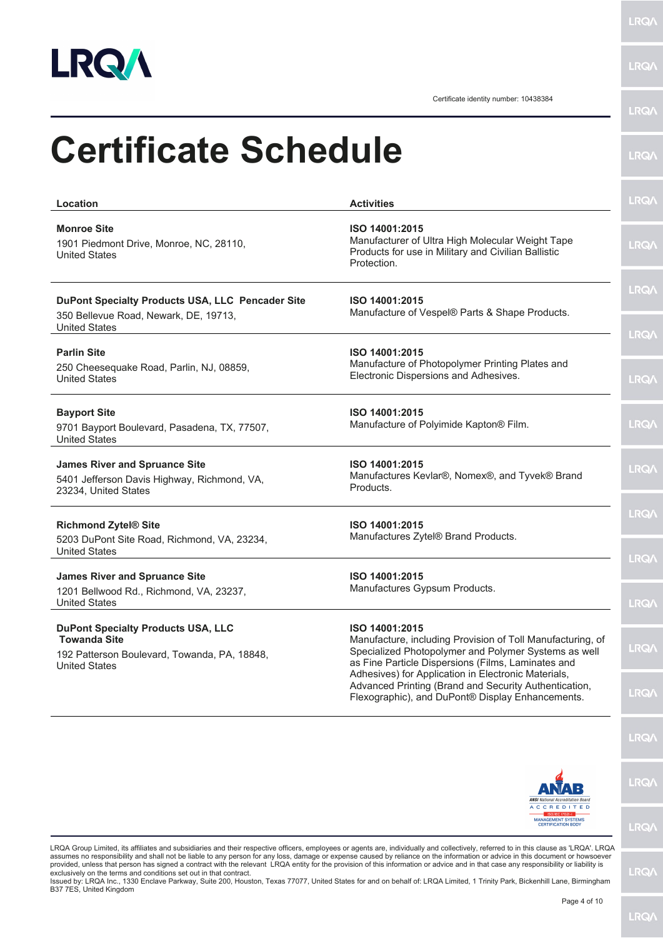

Certificate identity number: 10438384

| Location                                                                                                                                 | <b>Activities</b>                                                                                                                                                                          | <b>LRQA</b>                |
|------------------------------------------------------------------------------------------------------------------------------------------|--------------------------------------------------------------------------------------------------------------------------------------------------------------------------------------------|----------------------------|
| <b>Monroe Site</b><br>1901 Piedmont Drive, Monroe, NC, 28110,<br><b>United States</b>                                                    | ISO 14001:2015<br>Manufacturer of Ultra High Molecular Weight Tape<br>Products for use in Military and Civilian Ballistic<br>Protection.                                                   | <b>LRQA</b>                |
| DuPont Specialty Products USA, LLC Pencader Site<br>350 Bellevue Road, Newark, DE, 19713,<br><b>United States</b>                        | ISO 14001:2015<br>Manufacture of Vespel® Parts & Shape Products.                                                                                                                           | <b>LRQA</b><br><b>LRQA</b> |
| <b>Parlin Site</b><br>250 Cheesequake Road, Parlin, NJ, 08859,<br><b>United States</b>                                                   | ISO 14001:2015<br>Manufacture of Photopolymer Printing Plates and<br>Electronic Dispersions and Adhesives.                                                                                 | <b>LRQA</b>                |
| <b>Bayport Site</b><br>9701 Bayport Boulevard, Pasadena, TX, 77507,<br><b>United States</b>                                              | ISO 14001:2015<br>Manufacture of Polyimide Kapton® Film.                                                                                                                                   | <b>LRQA</b>                |
| <b>James River and Spruance Site</b><br>5401 Jefferson Davis Highway, Richmond, VA,<br>23234, United States                              | ISO 14001:2015<br>Manufactures Kevlar®, Nomex®, and Tyvek® Brand<br>Products.                                                                                                              | <b>LRQA</b>                |
| <b>Richmond Zytel® Site</b><br>5203 DuPont Site Road, Richmond, VA, 23234,<br><b>United States</b>                                       | ISO 14001:2015<br>Manufactures Zytel® Brand Products.                                                                                                                                      | <b>LRQA</b><br><b>LRQA</b> |
| <b>James River and Spruance Site</b><br>1201 Bellwood Rd., Richmond, VA, 23237,<br><b>United States</b>                                  | ISO 14001:2015<br>Manufactures Gypsum Products.                                                                                                                                            | <b>LROA</b>                |
| <b>DuPont Specialty Products USA, LLC</b><br><b>Towanda Site</b><br>192 Patterson Boulevard, Towanda, PA, 18848,<br><b>United States</b> | ISO 14001:2015<br>Manufacture, including Provision of Toll Manufacturing, of<br>Specialized Photopolymer and Polymer Systems as well<br>as Fine Particle Dispersions (Films, Laminates and | <b>LRQA</b>                |
|                                                                                                                                          | Adhesives) for Application in Electronic Materials,<br>Advanced Printing (Brand and Security Authentication,<br>Flexographic), and DuPont® Display Enhancements.                           | <b>LRQ/</b>                |
|                                                                                                                                          |                                                                                                                                                                                            | <b>LRQ/</b>                |
|                                                                                                                                          | <b>ANSI</b> National Accreditation Board                                                                                                                                                   | <b>LRQA</b>                |

LRQA Group Limited, its affiliates and subsidiaries and their respective officers, employees or agents are, individually and collectively, referred to in this clause as 'LRQA'. LRQA assumes no responsibility and shall not be liable to any person for any loss, damage or expense caused by reliance on the information or advice in this document or howsoever<br>provided, unless that person has signed a contra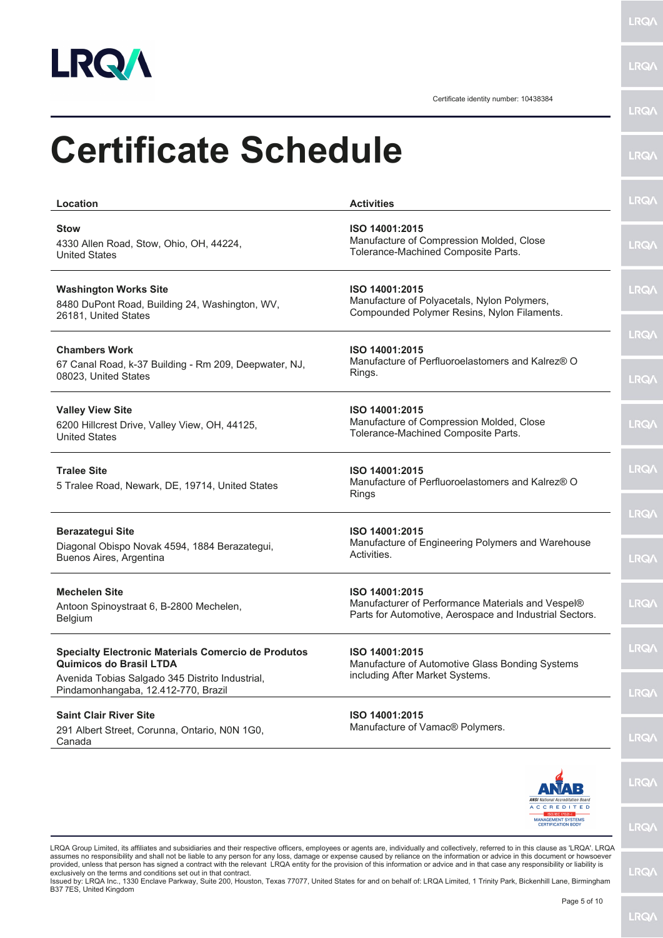

**LRQ** 

Certificate identity number: 10438384

| <b>Certificate Schedule</b>                                                                            |                                                                                                                                |                             |
|--------------------------------------------------------------------------------------------------------|--------------------------------------------------------------------------------------------------------------------------------|-----------------------------|
|                                                                                                        |                                                                                                                                | <b>LRQ/\</b>                |
| Location                                                                                               | <b>Activities</b>                                                                                                              | <b>LRQA</b>                 |
| <b>Stow</b><br>4330 Allen Road, Stow, Ohio, OH, 44224,<br><b>United States</b>                         | ISO 14001:2015<br>Manufacture of Compression Molded, Close<br>Tolerance-Machined Composite Parts.                              | <b>LRQA</b>                 |
| <b>Washington Works Site</b><br>8480 DuPont Road, Building 24, Washington, WV,<br>26181, United States | ISO 14001:2015<br>Manufacture of Polyacetals, Nylon Polymers,<br>Compounded Polymer Resins, Nylon Filaments.                   | <b>LRQ/\</b>                |
| <b>Chambers Work</b><br>67 Canal Road, k-37 Building - Rm 209, Deepwater, NJ,<br>08023, United States  | ISO 14001:2015<br>Manufacture of Perfluoroelastomers and Kalrez® O<br>Rings.                                                   | <b>LRQA</b><br><b>LRQA</b>  |
| <b>Valley View Site</b><br>6200 Hillcrest Drive, Valley View, OH, 44125,<br><b>United States</b>       | ISO 14001:2015<br>Manufacture of Compression Molded, Close<br>Tolerance-Machined Composite Parts.                              | <b>LRQA</b>                 |
| <b>Tralee Site</b><br>5 Tralee Road, Newark, DE, 19714, United States                                  | ISO 14001:2015<br>Manufacture of Perfluoroelastomers and Kalrez® O<br><b>Rings</b>                                             | <b>LRQA</b>                 |
| <b>Berazategui Site</b><br>Diagonal Obispo Novak 4594, 1884 Berazategui,<br>Buenos Aires, Argentina    | ISO 14001:2015<br>Manufacture of Engineering Polymers and Warehouse<br>Activities.                                             | <b>LRQA</b><br><b>LRQ/\</b> |
| <b>Mechelen Site</b><br>Antoon Spinoystraat 6, B-2800 Mechelen,<br>Belgium                             | ISO 14001:2015<br>Manufacturer of Performance Materials and Vespel®<br>Parts for Automotive, Aerospace and Industrial Sectors. | <b>LRQ/</b>                 |
| <b>Specialty Electronic Materials Comercio de Produtos</b><br>Quimicos do Brasil LTDA                  | ISO 14001:2015<br>Manufacture of Automotive Glass Bonding Systems                                                              | LRQ/                        |
| Avenida Tobias Salgado 345 Distrito Industrial,<br>Pindamonhangaba, 12.412-770, Brazil                 | including After Market Systems.                                                                                                | <b>LRQ/</b>                 |
| <b>Saint Clair River Site</b><br>291 Albert Street, Corunna, Ontario, N0N 1G0,<br>Canada               | ISO 14001:2015<br>Manufacture of Vamac® Polymers.                                                                              | <b>LRQ/</b>                 |
|                                                                                                        | <b>ANSI</b> National Accreditation Board                                                                                       | <b>LRQ/</b>                 |
|                                                                                                        | <b>ACCREDITED</b><br><b>MANAGEMENT SYSTEMS</b><br><b>CERTIFICATION BODY</b>                                                    | <b>LRQA</b>                 |

assumes no responsibility and shall not be liable to any person for any loss, damage or expense caused by reliance on the information or advice in this document or howsoever<br>provided, unless that person has signed a contra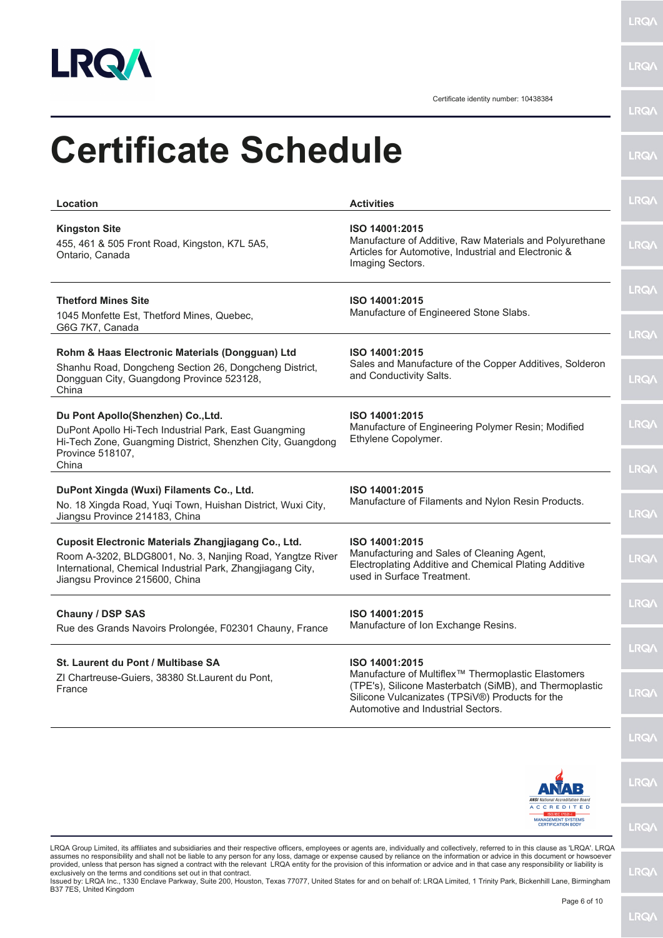

LRQ/\

**LRQA** 

Certificate identity number: 10438384

| Location                                                                                                                                                                                                          | <b>Activities</b>                                                                                                                                                                                                  | <b>LRQA</b>                |
|-------------------------------------------------------------------------------------------------------------------------------------------------------------------------------------------------------------------|--------------------------------------------------------------------------------------------------------------------------------------------------------------------------------------------------------------------|----------------------------|
| <b>Kingston Site</b><br>455, 461 & 505 Front Road, Kingston, K7L 5A5,<br>Ontario, Canada                                                                                                                          | ISO 14001:2015<br>Manufacture of Additive, Raw Materials and Polyurethane<br>Articles for Automotive, Industrial and Electronic &<br>Imaging Sectors.                                                              | <b>LRQA</b>                |
| <b>Thetford Mines Site</b><br>1045 Monfette Est, Thetford Mines, Quebec,<br>G6G 7K7, Canada                                                                                                                       | ISO 14001:2015<br>Manufacture of Engineered Stone Slabs.                                                                                                                                                           | <b>LRQA</b>                |
| Rohm & Haas Electronic Materials (Dongguan) Ltd<br>Shanhu Road, Dongcheng Section 26, Dongcheng District,<br>Dongguan City, Guangdong Province 523128,<br>China                                                   | ISO 14001:2015<br>Sales and Manufacture of the Copper Additives, Solderon<br>and Conductivity Salts.                                                                                                               | <b>LRQA</b><br><b>LRQA</b> |
| Du Pont Apollo(Shenzhen) Co., Ltd.<br>DuPont Apollo Hi-Tech Industrial Park, East Guangming<br>Hi-Tech Zone, Guangming District, Shenzhen City, Guangdong<br>Province 518107,                                     | ISO 14001:2015<br>Manufacture of Engineering Polymer Resin; Modified<br>Ethylene Copolymer.                                                                                                                        | <b>LRQA</b>                |
| China                                                                                                                                                                                                             |                                                                                                                                                                                                                    | <b>LRQA</b>                |
| DuPont Xingda (Wuxi) Filaments Co., Ltd.<br>No. 18 Xingda Road, Yuqi Town, Huishan District, Wuxi City,<br>Jiangsu Province 214183, China                                                                         | ISO 14001:2015<br>Manufacture of Filaments and Nylon Resin Products.                                                                                                                                               | <b>LRQA</b>                |
| Cuposit Electronic Materials Zhangjiagang Co., Ltd.<br>Room A-3202, BLDG8001, No. 3, Nanjing Road, Yangtze River<br>International, Chemical Industrial Park, Zhangjiagang City,<br>Jiangsu Province 215600, China | ISO 14001:2015<br>Manufacturing and Sales of Cleaning Agent,<br>Electroplating Additive and Chemical Plating Additive<br>used in Surface Treatment.                                                                | <b>LRQA</b>                |
| Chauny / DSP SAS<br>Rue des Grands Navoirs Prolongée, F02301 Chauny, France                                                                                                                                       | ISO 14001:2015<br>Manufacture of Ion Exchange Resins.                                                                                                                                                              | <b>LRQ/</b>                |
| St. Laurent du Pont / Multibase SA                                                                                                                                                                                | ISO 14001:2015                                                                                                                                                                                                     | <b>LRQA</b>                |
| ZI Chartreuse-Guiers, 38380 St.Laurent du Pont,<br>France                                                                                                                                                         | Manufacture of Multiflex <sup>™</sup> Thermoplastic Elastomers<br>(TPE's), Silicone Masterbatch (SiMB), and Thermoplastic<br>Silicone Vulcanizates (TPSiV®) Products for the<br>Automotive and Industrial Sectors. | <b>LRQ/</b>                |
|                                                                                                                                                                                                                   |                                                                                                                                                                                                                    | <b>LRQ/</b>                |
|                                                                                                                                                                                                                   | <b>ANSI</b> National Accreditation Board                                                                                                                                                                           | <b>LRQA</b>                |
|                                                                                                                                                                                                                   | <b>ACCREDITED</b><br><b>MANAGEMENT SYSTEMS</b><br><b>CERTIFICATION BODY</b>                                                                                                                                        | <b>LRQ/</b>                |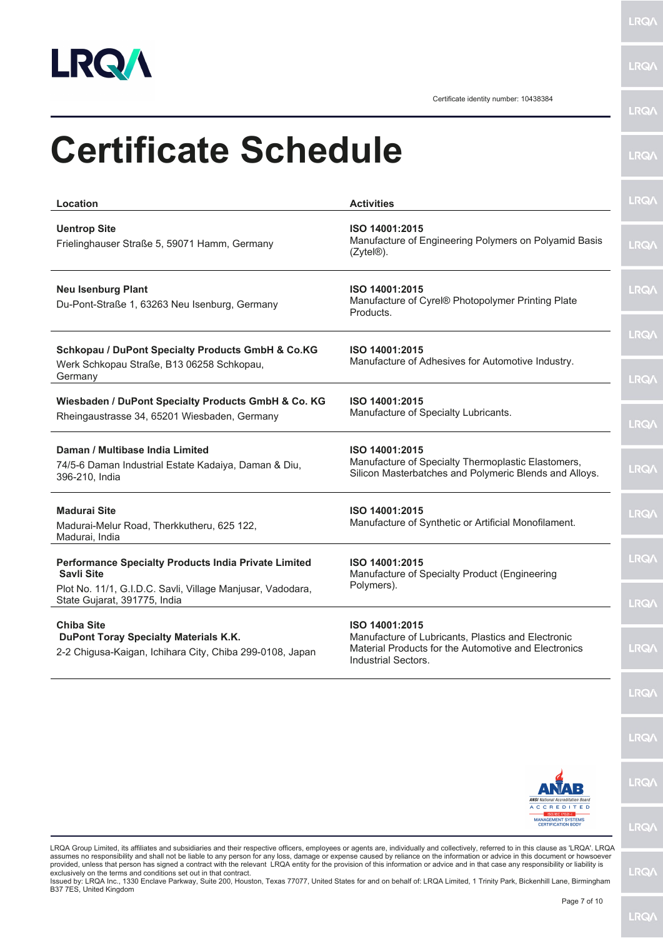

Certificate identity number: 10438384

**LRQA** 

| <b>Certificate Schedule</b>                                                                                                             |                                                                                                                                                     | <b>LRQA</b>                |
|-----------------------------------------------------------------------------------------------------------------------------------------|-----------------------------------------------------------------------------------------------------------------------------------------------------|----------------------------|
| Location                                                                                                                                | <b>Activities</b>                                                                                                                                   | <b>LRQA</b>                |
| <b>Uentrop Site</b><br>Frielinghauser Straße 5, 59071 Hamm, Germany                                                                     | ISO 14001:2015<br>Manufacture of Engineering Polymers on Polyamid Basis<br>(Zytel <sup>®</sup> ).                                                   | <b>LRQA</b>                |
| <b>Neu Isenburg Plant</b><br>Du-Pont-Straße 1, 63263 Neu Isenburg, Germany                                                              | ISO 14001:2015<br>Manufacture of Cyrel® Photopolymer Printing Plate<br>Products.                                                                    | <b>LRQA</b>                |
| Schkopau / DuPont Specialty Products GmbH & Co.KG<br>Werk Schkopau Straße, B13 06258 Schkopau,<br>Germany                               | ISO 14001:2015<br>Manufacture of Adhesives for Automotive Industry.                                                                                 | <b>LRQA</b><br><b>LRQA</b> |
| Wiesbaden / DuPont Specialty Products GmbH & Co. KG<br>Rheingaustrasse 34, 65201 Wiesbaden, Germany                                     | ISO 14001:2015<br>Manufacture of Specialty Lubricants.                                                                                              | <b>LRQA</b>                |
| Daman / Multibase India Limited<br>74/5-6 Daman Industrial Estate Kadaiya, Daman & Diu,<br>396-210, India                               | ISO 14001:2015<br>Manufacture of Specialty Thermoplastic Elastomers,<br>Silicon Masterbatches and Polymeric Blends and Alloys.                      | <b>LRQA</b>                |
| <b>Madurai Site</b><br>Madurai-Melur Road, Therkkutheru, 625 122,<br>Madurai, India                                                     | ISO 14001:2015<br>Manufacture of Synthetic or Artificial Monofilament.                                                                              | <b>LRQ/</b>                |
| Performance Specialty Products India Private Limited<br><b>Savli Site</b><br>Plot No. 11/1, G.I.D.C. Savli, Village Manjusar, Vadodara, | ISO 14001:2015<br>Manufacture of Specialty Product (Engineering<br>Polymers).                                                                       | <b>LRQA</b>                |
| State Gujarat, 391775, India                                                                                                            |                                                                                                                                                     | <b>LRQ/\</b>               |
| <b>Chiba Site</b><br>DuPont Toray Specialty Materials K.K.<br>2-2 Chigusa-Kaigan, Ichihara City, Chiba 299-0108, Japan                  | ISO 14001:2015<br>Manufacture of Lubricants, Plastics and Electronic<br>Material Products for the Automotive and Electronics<br>Industrial Sectors. | <b>LRQA</b>                |
|                                                                                                                                         |                                                                                                                                                     | <b>LRQA</b>                |
|                                                                                                                                         |                                                                                                                                                     | <b>LRQA</b>                |
|                                                                                                                                         | <b>ANSI</b> National Accreditation Board                                                                                                            | <b>LRQA</b>                |
|                                                                                                                                         | <b>ACCREDITED</b><br><b>MANAGEMENT SYSTEMS</b><br><b>CERTIFICATION BODY</b>                                                                         | <b>LRQA</b>                |

LRQA Group Limited, its affiliates and subsidiaries and their respective officers, employees or agents are, individually and collectively, referred to in this clause as 'LRQA'. LRQA assumes no responsibility and shall not be liable to any person for any loss, damage or expense caused by reliance on the information or advice in this document or howsoever<br>provided, unless that person has signed a contra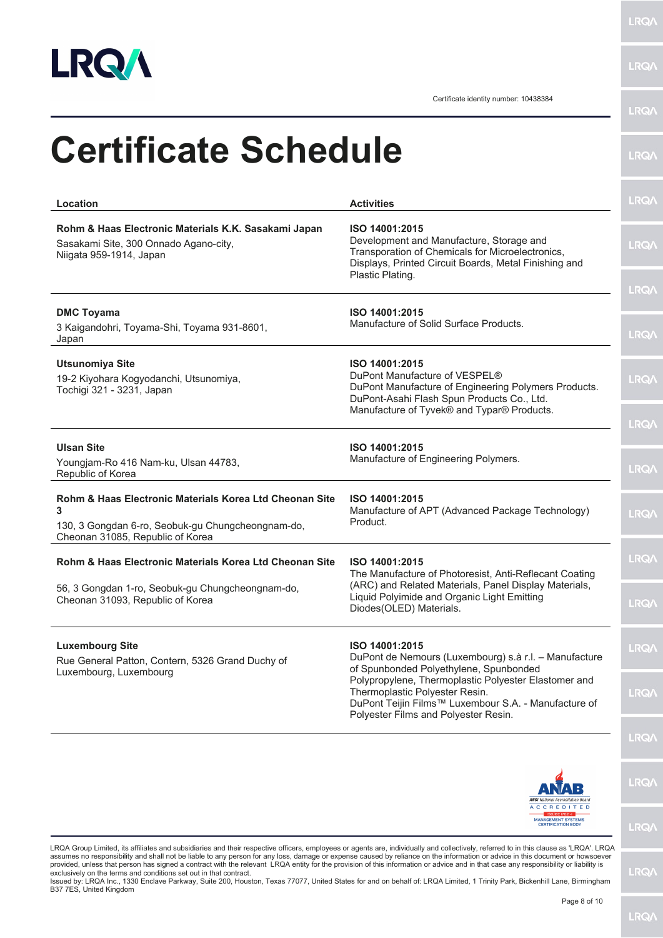

**LRQA** 

Certificate identity number: 10438384

| <b>Certificate Schedule</b>                                                                                                                           |                                                                                                                                                                                                             |              |
|-------------------------------------------------------------------------------------------------------------------------------------------------------|-------------------------------------------------------------------------------------------------------------------------------------------------------------------------------------------------------------|--------------|
| Location                                                                                                                                              | <b>Activities</b>                                                                                                                                                                                           | <b>LRQA</b>  |
| Rohm & Haas Electronic Materials K.K. Sasakami Japan<br>Sasakami Site, 300 Onnado Agano-city,<br>Niigata 959-1914, Japan                              | ISO 14001:2015<br>Development and Manufacture, Storage and<br>Transporation of Chemicals for Microelectronics,<br>Displays, Printed Circuit Boards, Metal Finishing and                                     | <b>LRQA</b>  |
|                                                                                                                                                       | Plastic Plating.                                                                                                                                                                                            | <b>LRQ/\</b> |
| <b>DMC Toyama</b><br>3 Kaigandohri, Toyama-Shi, Toyama 931-8601,<br>Japan                                                                             | ISO 14001:2015<br>Manufacture of Solid Surface Products.                                                                                                                                                    | <b>LRQA</b>  |
| <b>Utsunomiya Site</b><br>19-2 Kiyohara Kogyodanchi, Utsunomiya,<br>Tochigi 321 - 3231, Japan                                                         | ISO 14001:2015<br>DuPont Manufacture of VESPEL®<br>DuPont Manufacture of Engineering Polymers Products.<br>DuPont-Asahi Flash Spun Products Co., Ltd.                                                       | <b>LRQA</b>  |
|                                                                                                                                                       | Manufacture of Tyvek® and Typar® Products.                                                                                                                                                                  | <b>LRQA</b>  |
| <b>Ulsan Site</b><br>Youngjam-Ro 416 Nam-ku, Ulsan 44783,<br>Republic of Korea                                                                        | ISO 14001:2015<br>Manufacture of Engineering Polymers.                                                                                                                                                      | <b>LRQA</b>  |
| Rohm & Haas Electronic Materials Korea Ltd Cheonan Site<br>3<br>130, 3 Gongdan 6-ro, Seobuk-gu Chungcheongnam-do,<br>Cheonan 31085, Republic of Korea | ISO 14001:2015<br>Manufacture of APT (Advanced Package Technology)<br>Product.                                                                                                                              | <b>LRQA</b>  |
| Rohm & Haas Electronic Materials Korea Ltd Cheonan Site                                                                                               | ISO 14001:2015<br>The Manufacture of Photoresist, Anti-Reflecant Coating<br>(ARC) and Related Materials, Panel Display Materials,<br>Liquid Polyimide and Organic Light Emitting<br>Diodes(OLED) Materials. | <b>LRQ/</b>  |
| 56, 3 Gongdan 1-ro, Seobuk-gu Chungcheongnam-do,<br>Cheonan 31093, Republic of Korea                                                                  |                                                                                                                                                                                                             | <b>LRQA</b>  |
| <b>Luxembourg Site</b><br>Rue General Patton, Contern, 5326 Grand Duchy of<br>Luxembourg, Luxembourg                                                  | ISO 14001:2015<br>DuPont de Nemours (Luxembourg) s.à r.l. - Manufacture<br>of Spunbonded Polyethylene, Spunbonded                                                                                           | <b>LRQA</b>  |
|                                                                                                                                                       | Polypropylene, Thermoplastic Polyester Elastomer and<br>Thermoplastic Polyester Resin.<br>DuPont Teijin Films™ Luxembour S.A. - Manufacture of<br>Polyester Films and Polyester Resin.                      | <b>LRQA</b>  |
|                                                                                                                                                       |                                                                                                                                                                                                             | <b>LRQ/</b>  |
|                                                                                                                                                       |                                                                                                                                                                                                             |              |



LRQA Group Limited, its affiliates and subsidiaries and their respective officers, employees or agents are, individually and collectively, referred to in this clause as 'LRQA'. LRQA assumes no responsibility and shall not be liable to any person for any loss, damage or expense caused by reliance on the information or advice in this document or howsoever<br>provided, unless that person has signed a contra

**LRQA** 

**LRQ/\**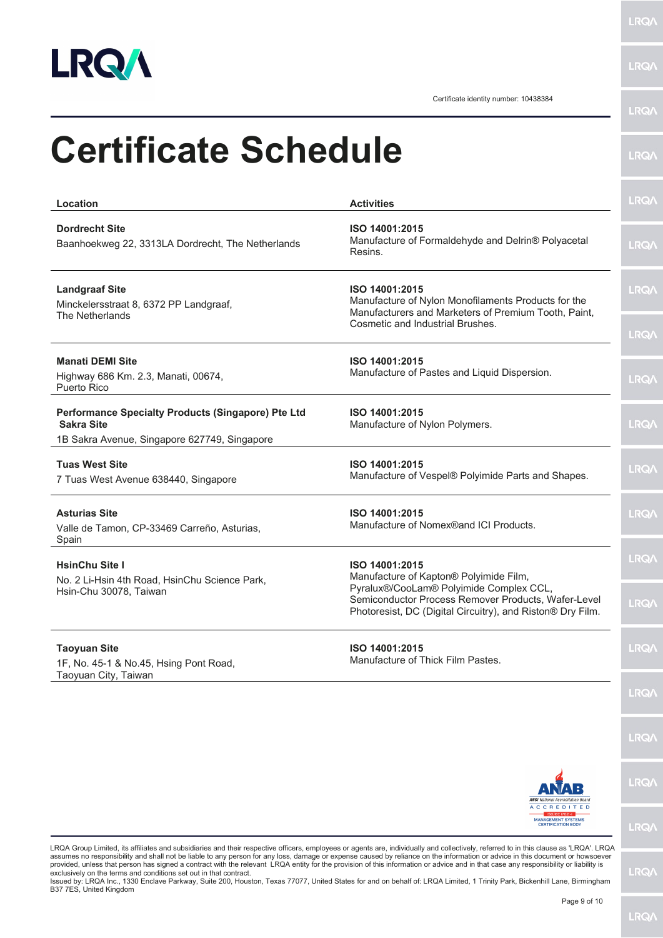

**LRQ/** 

Certificate identity number: 10438384

| Location                                                                                                                                                                              | <b>Activities</b>                                                                                                                                                                                                        | <b>LRQA</b>                |
|---------------------------------------------------------------------------------------------------------------------------------------------------------------------------------------|--------------------------------------------------------------------------------------------------------------------------------------------------------------------------------------------------------------------------|----------------------------|
| <b>Dordrecht Site</b><br>Baanhoekweg 22, 3313LA Dordrecht, The Netherlands                                                                                                            | ISO 14001:2015<br>Manufacture of Formaldehyde and Delrin® Polyacetal<br>Resins.                                                                                                                                          | <b>LRQA</b>                |
| <b>Landgraaf Site</b><br>Minckelersstraat 8, 6372 PP Landgraaf,<br>The Netherlands                                                                                                    | ISO 14001:2015<br>Manufacture of Nylon Monofilaments Products for the<br>Manufacturers and Marketers of Premium Tooth, Paint,<br>Cosmetic and Industrial Brushes.                                                        | <b>LRQA</b>                |
| <b>Manati DEMI Site</b><br>Highway 686 Km. 2.3, Manati, 00674,<br>Puerto Rico                                                                                                         | ISO 14001:2015<br>Manufacture of Pastes and Liquid Dispersion.                                                                                                                                                           | <b>LRQA</b><br><b>LRQA</b> |
| Performance Specialty Products (Singapore) Pte Ltd<br><b>Sakra Site</b><br>1B Sakra Avenue, Singapore 627749, Singapore                                                               | ISO 14001:2015<br>Manufacture of Nylon Polymers.                                                                                                                                                                         | <b>LRQA</b>                |
| <b>Tuas West Site</b><br>7 Tuas West Avenue 638440, Singapore                                                                                                                         | ISO 14001:2015<br>Manufacture of Vespel® Polyimide Parts and Shapes.                                                                                                                                                     | <b>LRQ/\</b>               |
| <b>Asturias Site</b><br>Valle de Tamon, CP-33469 Carreño, Asturias,<br>Spain                                                                                                          | ISO 14001:2015<br>Manufacture of Nomex®and ICI Products.                                                                                                                                                                 | <b>LRQA</b>                |
| <b>HsinChu Site I</b><br>No. 2 Li-Hsin 4th Road, HsinChu Science Park,<br>Hsin-Chu 30078, Taiwan                                                                                      | ISO 14001:2015<br>Manufacture of Kapton® Polyimide Film,<br>Pyralux®/CooLam® Polyimide Complex CCL,<br>Semiconductor Process Remover Products, Wafer-Level<br>Photoresist, DC (Digital Circuitry), and Riston® Dry Film. | <b>LRQA</b><br><b>LRQ/</b> |
| <b>Taoyuan Site</b><br>1F, No. 45-1 & No.45, Hsing Pont Road,<br>Taoyuan City, Taiwan                                                                                                 | ISO 14001:2015<br>Manufacture of Thick Film Pastes.                                                                                                                                                                      | <b>LRQA</b>                |
| LRQA Group Limited, its affiliates and subsidiaries and their respective officers, employees or agents are, individually and collectively, referred to in this clause as 'LRQA'. LRQA |                                                                                                                                                                                                                          | <b>LRQA</b>                |
|                                                                                                                                                                                       |                                                                                                                                                                                                                          | <b>LRQA</b>                |
|                                                                                                                                                                                       | <b>ANSI</b> National Accreditation Board<br><b>ACCREDITED</b><br><b>ISO/IEC (702)-</b>                                                                                                                                   | <b>LRQ/</b>                |
|                                                                                                                                                                                       | <b>MANAGEMENT SYSTEMS</b><br><b>CERTIFICATION BODY</b>                                                                                                                                                                   | <b>LRQ/</b>                |

Issued by: LRQA Inc., 1330 Enclave Parkway, Suite 200, Houston, Texas 77077, United States for and on behalf of: LRQA Limited, 1 Trinity Park, Bickenhill Lane, Birmingham B37 7ES, United Kingdom